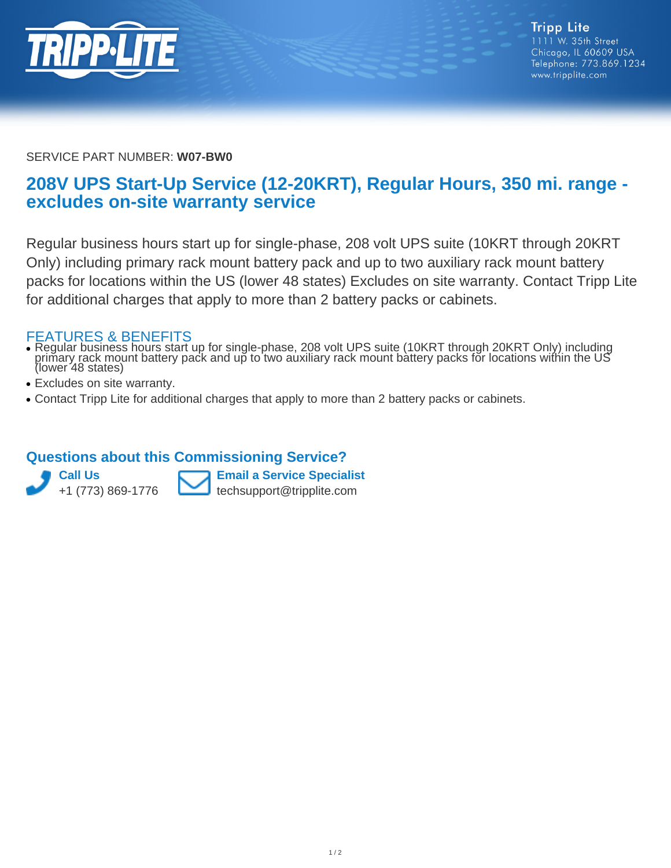

SERVICE PART NUMBER: **W07-BW0**

## **208V UPS Start-Up Service (12-20KRT), Regular Hours, 350 mi. range excludes on-site warranty service**

Regular business hours start up for single-phase, 208 volt UPS suite (10KRT through 20KRT Only) including primary rack mount battery pack and up to two auxiliary rack mount battery packs for locations within the US (lower 48 states) Excludes on site warranty. Contact Tripp Lite for additional charges that apply to more than 2 battery packs or cabinets.

## FEATURES & BENEFITS

- Regular business hours start up for single-phase, 208 volt UPS suite (10KRT through 20KRT Only) including primary rack mount battery pack and up to two auxiliary rack mount battery packs for locations within the US (lower 48 states) ●
- Excludes on site warranty.
- Contact Tripp Lite for additional charges that apply to more than 2 battery packs or cabinets.

## **Questions about this Commissioning Service?**



**Email a Service Specialist** techsupport@tripplite.com